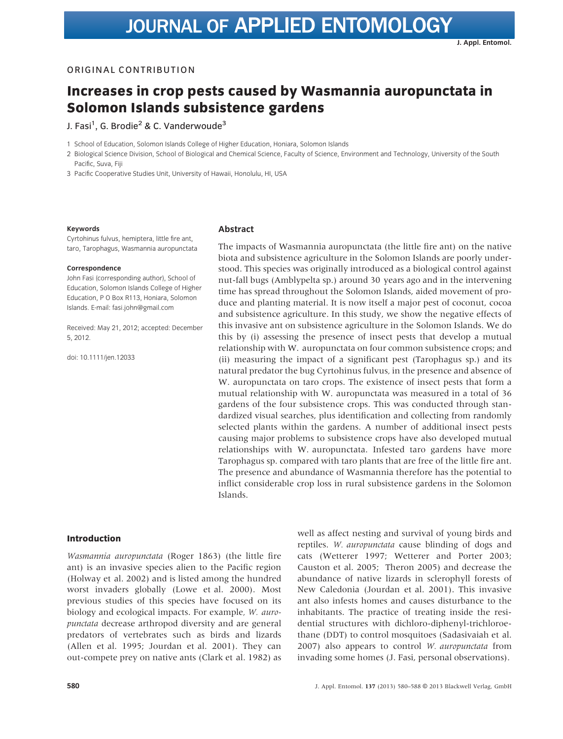## ORIGINAL CONTRIBUTION

# Increases in crop pests caused by Wasmannia auropunctata in Solomon Islands subsistence gardens

J. Fasi<sup>1</sup>, G. Brodie<sup>2</sup> & C. Vanderwoude<sup>3</sup>

1 School of Education, Solomon Islands College of Higher Education, Honiara, Solomon Islands

2 Biological Science Division, School of Biological and Chemical Science, Faculty of Science, Environment and Technology, University of the South Pacific, Suva, Fiji

3 Pacific Cooperative Studies Unit, University of Hawaii, Honolulu, HI, USA

#### Keywords

Cyrtohinus fulvus, hemiptera, little fire ant, taro, Tarophagus, Wasmannia auropunctata

#### Correspondence

John Fasi (corresponding author), School of Education, Solomon Islands College of Higher Education, P O Box R113, Honiara, Solomon Islands. E-mail: fasi.john@gmail.com

Received: May 21, 2012; accepted: December 5, 2012.

doi: 10.1111/jen.12033

#### Abstract

The impacts of Wasmannia auropunctata (the little fire ant) on the native biota and subsistence agriculture in the Solomon Islands are poorly understood. This species was originally introduced as a biological control against nut-fall bugs (Amblypelta sp.) around 30 years ago and in the intervening time has spread throughout the Solomon Islands, aided movement of produce and planting material. It is now itself a major pest of coconut, cocoa and subsistence agriculture. In this study, we show the negative effects of this invasive ant on subsistence agriculture in the Solomon Islands. We do this by (i) assessing the presence of insect pests that develop a mutual relationship with W. auropunctata on four common subsistence crops; and (ii) measuring the impact of a significant pest (Tarophagus sp.) and its natural predator the bug Cyrtohinus fulvus, in the presence and absence of W. auropunctata on taro crops. The existence of insect pests that form a mutual relationship with W. auropunctata was measured in a total of 36 gardens of the four subsistence crops. This was conducted through standardized visual searches, plus identification and collecting from randomly selected plants within the gardens. A number of additional insect pests causing major problems to subsistence crops have also developed mutual relationships with W. auropunctata. Infested taro gardens have more Tarophagus sp. compared with taro plants that are free of the little fire ant. The presence and abundance of Wasmannia therefore has the potential to inflict considerable crop loss in rural subsistence gardens in the Solomon Islands.

## Introduction

Wasmannia auropunctata (Roger 1863) (the little fire ant) is an invasive species alien to the Pacific region (Holway et al. 2002) and is listed among the hundred worst invaders globally (Lowe et al. 2000). Most previous studies of this species have focused on its biology and ecological impacts. For example, W. auropunctata decrease arthropod diversity and are general predators of vertebrates such as birds and lizards (Allen et al. 1995; Jourdan et al. 2001). They can out-compete prey on native ants (Clark et al. 1982) as well as affect nesting and survival of young birds and reptiles. W. auropunctata cause blinding of dogs and cats (Wetterer 1997; Wetterer and Porter 2003; Causton et al. 2005; Theron 2005) and decrease the abundance of native lizards in sclerophyll forests of New Caledonia (Jourdan et al. 2001). This invasive ant also infests homes and causes disturbance to the inhabitants. The practice of treating inside the residential structures with dichloro-diphenyl-trichloroethane (DDT) to control mosquitoes (Sadasivaiah et al. 2007) also appears to control W. auropunctata from invading some homes (J. Fasi, personal observations).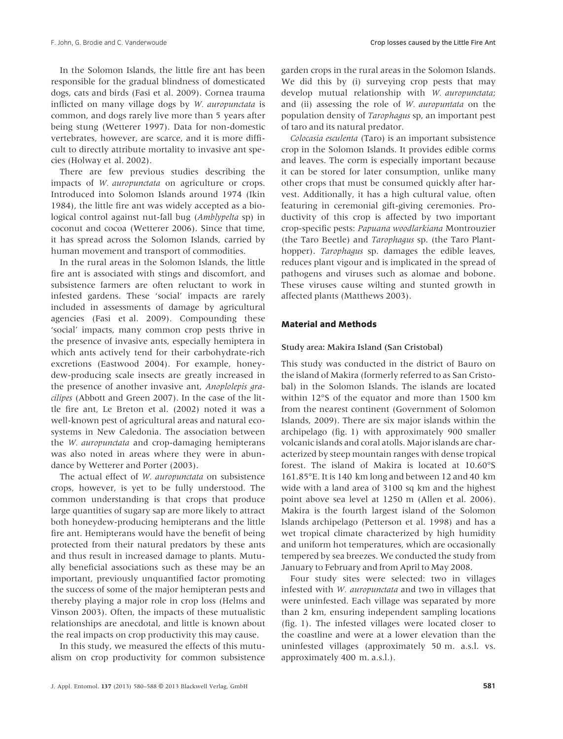In the Solomon Islands, the little fire ant has been responsible for the gradual blindness of domesticated dogs, cats and birds (Fasi et al. 2009). Cornea trauma inflicted on many village dogs by W. auropunctata is common, and dogs rarely live more than 5 years after being stung (Wetterer 1997). Data for non-domestic vertebrates, however, are scarce, and it is more difficult to directly attribute mortality to invasive ant species (Holway et al. 2002).

There are few previous studies describing the impacts of W. auropunctata on agriculture or crops. Introduced into Solomon Islands around 1974 (Ikin 1984), the little fire ant was widely accepted as a biological control against nut-fall bug (Amblypelta sp) in coconut and cocoa (Wetterer 2006). Since that time, it has spread across the Solomon Islands, carried by human movement and transport of commodities.

In the rural areas in the Solomon Islands, the little fire ant is associated with stings and discomfort, and subsistence farmers are often reluctant to work in infested gardens. These 'social' impacts are rarely included in assessments of damage by agricultural agencies (Fasi et al. 2009). Compounding these 'social' impacts, many common crop pests thrive in the presence of invasive ants, especially hemiptera in which ants actively tend for their carbohydrate-rich excretions (Eastwood 2004). For example, honeydew-producing scale insects are greatly increased in the presence of another invasive ant, Anoplolepis gracilipes (Abbott and Green 2007). In the case of the little fire ant, Le Breton et al. (2002) noted it was a well-known pest of agricultural areas and natural ecosystems in New Caledonia. The association between the W. auropunctata and crop-damaging hemipterans was also noted in areas where they were in abundance by Wetterer and Porter (2003).

The actual effect of W. auropunctata on subsistence crops, however, is yet to be fully understood. The common understanding is that crops that produce large quantities of sugary sap are more likely to attract both honeydew-producing hemipterans and the little fire ant. Hemipterans would have the benefit of being protected from their natural predators by these ants and thus result in increased damage to plants. Mutually beneficial associations such as these may be an important, previously unquantified factor promoting the success of some of the major hemipteran pests and thereby playing a major role in crop loss (Helms and Vinson 2003). Often, the impacts of these mutualistic relationships are anecdotal, and little is known about the real impacts on crop productivity this may cause.

In this study, we measured the effects of this mutualism on crop productivity for common subsistence garden crops in the rural areas in the Solomon Islands. We did this by (i) surveying crop pests that may develop mutual relationship with W. auropunctata; and (ii) assessing the role of W. auropuntata on the population density of Tarophagus sp, an important pest of taro and its natural predator.

Colocasia esculenta (Taro) is an important subsistence crop in the Solomon Islands. It provides edible corms and leaves. The corm is especially important because it can be stored for later consumption, unlike many other crops that must be consumed quickly after harvest. Additionally, it has a high cultural value, often featuring in ceremonial gift-giving ceremonies. Productivity of this crop is affected by two important crop-specific pests: Papuana woodlarkiana Montrouzier (the Taro Beetle) and Tarophagus sp. (the Taro Planthopper). Tarophagus sp. damages the edible leaves, reduces plant vigour and is implicated in the spread of pathogens and viruses such as alomae and bobone. These viruses cause wilting and stunted growth in affected plants (Matthews 2003).

## Material and Methods

#### Study area: Makira Island (San Cristobal)

This study was conducted in the district of Bauro on the island of Makira (formerly referred to as San Cristobal) in the Solomon Islands. The islands are located within 12°S of the equator and more than 1500 km from the nearest continent (Government of Solomon Islands, 2009). There are six major islands within the archipelago (fig. 1) with approximately 900 smaller volcanic islands and coral atolls. Major islands are characterized by steep mountain ranges with dense tropical forest. The island of Makira is located at 10.60°S 161.85°E. It is 140 km long and between 12 and 40 km wide with a land area of 3100 sq km and the highest point above sea level at 1250 m (Allen et al. 2006). Makira is the fourth largest island of the Solomon Islands archipelago (Petterson et al. 1998) and has a wet tropical climate characterized by high humidity and uniform hot temperatures, which are occasionally tempered by sea breezes. We conducted the study from January to February and from April to May 2008.

Four study sites were selected: two in villages infested with W. auropunctata and two in villages that were uninfested. Each village was separated by more than 2 km, ensuring independent sampling locations (fig. 1). The infested villages were located closer to the coastline and were at a lower elevation than the uninfested villages (approximately 50 m. a.s.l. vs. approximately 400 m. a.s.l.).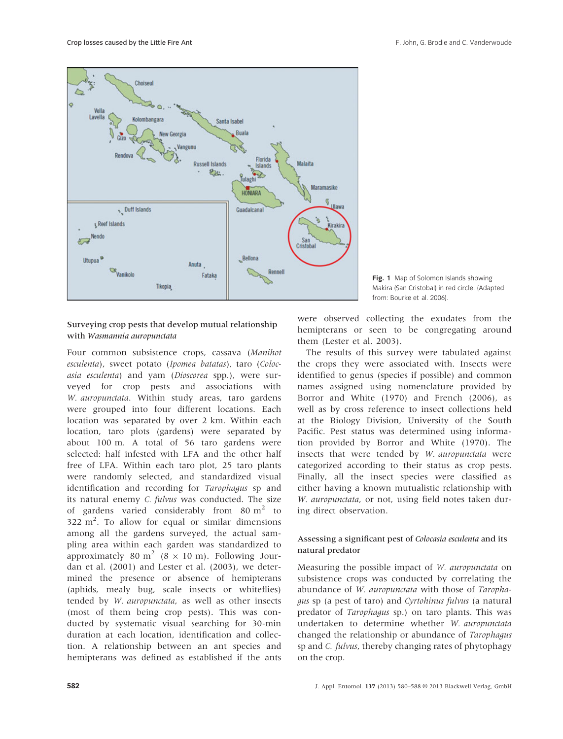

# Surveying crop pests that develop mutual relationship with Wasmannia auropunctata

Four common subsistence crops, cassava (Manihot esculenta), sweet potato (Ipomea batatas), taro (Colocasia esculenta) and yam (Dioscorea spp.), were surveyed for crop pests and associations with W. auropunctata. Within study areas, taro gardens were grouped into four different locations. Each location was separated by over 2 km. Within each location, taro plots (gardens) were separated by about 100 m. A total of 56 taro gardens were selected: half infested with LFA and the other half free of LFA. Within each taro plot, 25 taro plants were randomly selected, and standardized visual identification and recording for Tarophagus sp and its natural enemy C. fulvus was conducted. The size of gardens varied considerably from  $80 \text{ m}^2$  to  $322 \text{ m}^2$ . To allow for equal or similar dimensions among all the gardens surveyed, the actual sampling area within each garden was standardized to approximately 80 m<sup>2</sup> (8  $\times$  10 m). Following Jourdan et al. (2001) and Lester et al. (2003), we determined the presence or absence of hemipterans (aphids, mealy bug, scale insects or whiteflies) tended by W. auropunctata, as well as other insects (most of them being crop pests). This was conducted by systematic visual searching for 30-min duration at each location, identification and collection. A relationship between an ant species and hemipterans was defined as established if the ants



were observed collecting the exudates from the hemipterans or seen to be congregating around them (Lester et al. 2003).

The results of this survey were tabulated against the crops they were associated with. Insects were identified to genus (species if possible) and common names assigned using nomenclature provided by Borror and White (1970) and French (2006), as well as by cross reference to insect collections held at the Biology Division, University of the South Pacific. Pest status was determined using information provided by Borror and White (1970). The insects that were tended by W. auropunctata were categorized according to their status as crop pests. Finally, all the insect species were classified as either having a known mutualistic relationship with W. *auropunctata*, or not, using field notes taken during direct observation.

# Assessing a significant pest of Colocasia esculenta and its natural predator

Measuring the possible impact of W. auropunctata on subsistence crops was conducted by correlating the abundance of W. auropunctata with those of Tarophagus sp (a pest of taro) and Cyrtohinus fulvus (a natural predator of Tarophagus sp.) on taro plants. This was undertaken to determine whether W. auropunctata changed the relationship or abundance of Tarophagus sp and C. fulvus, thereby changing rates of phytophagy on the crop.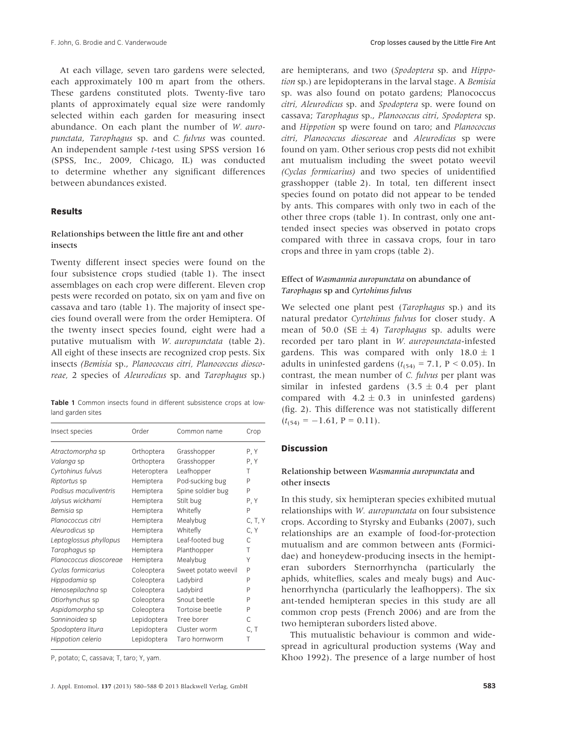At each village, seven taro gardens were selected, each approximately 100 m apart from the others. These gardens constituted plots. Twenty-five taro plants of approximately equal size were randomly selected within each garden for measuring insect abundance. On each plant the number of W. auropunctata, Tarophagus sp. and C. fulvus was counted. An independent sample t-test using SPSS version 16 (SPSS, Inc., 2009, Chicago, IL) was conducted to determine whether any significant differences between abundances existed.

#### Results

## Relationships between the little fire ant and other insects

Twenty different insect species were found on the four subsistence crops studied (table 1). The insect assemblages on each crop were different. Eleven crop pests were recorded on potato, six on yam and five on cassava and taro (table 1). The majority of insect species found overall were from the order Hemiptera. Of the twenty insect species found, eight were had a putative mutualism with *W. auropunctata* (table 2). All eight of these insects are recognized crop pests. Six insects (Bemisia sp., Planococcus citri, Planococcus dioscoreae, 2 species of Aleurodicus sp. and Tarophagus sp.)

Table 1 Common insects found in different subsistence crops at lowland garden sites

| Insect species         | Order       | Common name         | Crop    |
|------------------------|-------------|---------------------|---------|
| Atractomorpha sp       | Orthoptera  | Grasshopper         | P.Y     |
| Valanga sp             | Orthoptera  | Grasshopper         | P, Y    |
| Cyrtohinus fulvus      | Heteroptera | Leafhopper          | Τ       |
| Riptortus sp           | Hemiptera   | Pod-sucking bug     | P       |
| Podisus maculiventris  | Hemiptera   | Spine soldier bug   | P       |
| Jalysus wickhami       | Hemiptera   | Stilt bug           | P, Y    |
| Bemisia sp             | Hemiptera   | Whitefly            | P       |
| Planococcus citri      | Hemiptera   | Mealybug            | C, T, Y |
| Aleurodicus sp         | Hemiptera   | Whitefly            | C, Y    |
| Leptoglossus phyllopus | Hemiptera   | Leaf-footed bug     | C       |
| Tarophagus sp          | Hemiptera   | Planthopper         | T       |
| Planococcus dioscoreae | Hemiptera   | Mealybug            | Υ       |
| Cyclas formicarius     | Coleoptera  | Sweet potato weevil | P       |
| Hippodamia sp          | Coleoptera  | Ladybird            | P       |
| Henosepilachna sp      | Coleoptera  | Ladybird            | P       |
| Otiorhynchus sp        | Coleoptera  | Snout beetle        | P       |
| Aspidomorpha sp        | Coleoptera  | Tortoise beetle     | P       |
| Sanninoidea sp         | Lepidoptera | Tree borer          | C       |
| Spodoptera litura      | Lepidoptera | Cluster worm        | C, T    |
| Hippotion celerio      | Lepidoptera | Taro hornworm       | Т       |

P, potato; C, cassava; T, taro; Y, yam.

are hemipterans, and two (Spodoptera sp. and Hippotion sp.) are lepidopterans in the larval stage. A Bemisia sp. was also found on potato gardens; Planococcus citri, Aleurodicus sp. and Spodoptera sp. were found on cassava; Tarophagus sp., Planococcus citri, Spodoptera sp. and Hippotion sp were found on taro; and Planococcus citri, Planococcus dioscoreae and Aleurodicus sp were found on yam. Other serious crop pests did not exhibit ant mutualism including the sweet potato weevil (Cyclas formicarius) and two species of unidentified grasshopper (table 2). In total, ten different insect species found on potato did not appear to be tended by ants. This compares with only two in each of the other three crops (table 1). In contrast, only one anttended insect species was observed in potato crops compared with three in cassava crops, four in taro crops and three in yam crops (table 2).

## Effect of Wasmannia auropunctata on abundance of Tarophagus sp and Cyrtohinus fulvus

We selected one plant pest (Tarophagus sp.) and its natural predator Cyrtohinus fulvus for closer study. A mean of 50.0 (SE  $\pm$  4) Tarophagus sp. adults were recorded per taro plant in W. auropounctata-infested gardens. This was compared with only  $18.0 \pm 1$ adults in uninfested gardens  $(t<sub>(54)</sub> = 7.1, P < 0.05)$ . In contrast, the mean number of C. fulvus per plant was similar in infested gardens  $(3.5 \pm 0.4$  per plant compared with  $4.2 \pm 0.3$  in uninfested gardens) (fig. 2). This difference was not statistically different  $(t_{(54)} = -1.61, P = 0.11).$ 

## Discussion

# Relationship between Wasmannia auropunctata and other insects

In this study, six hemipteran species exhibited mutual relationships with W. auropunctata on four subsistence crops. According to Styrsky and Eubanks (2007), such relationships are an example of food-for-protection mutualism and are common between ants (Formicidae) and honeydew-producing insects in the hemipteran suborders Sternorrhyncha (particularly the aphids, whiteflies, scales and mealy bugs) and Auchenorrhyncha (particularly the leafhoppers). The six ant-tended hemipteran species in this study are all common crop pests (French 2006) and are from the two hemipteran suborders listed above.

This mutualistic behaviour is common and widespread in agricultural production systems (Way and Khoo 1992). The presence of a large number of host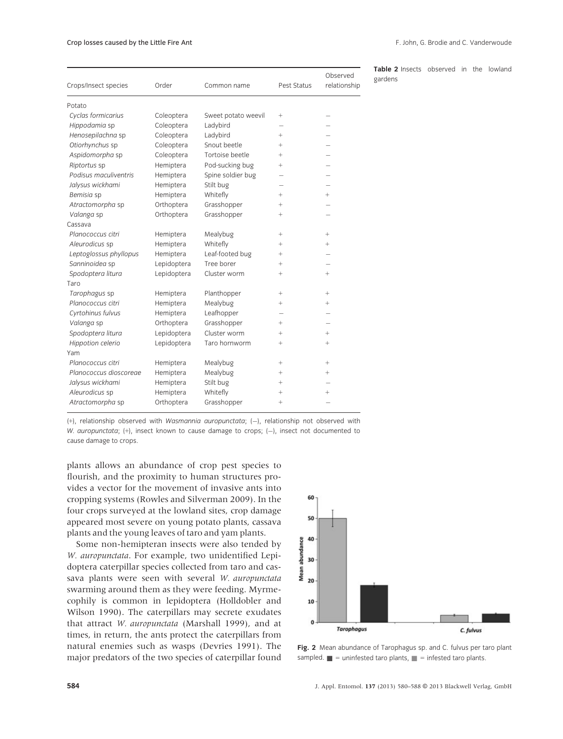#### Crop losses caused by the Little Fire Ant

| F. John, G. Brodie and C. Vanderwoude |  |
|---------------------------------------|--|
|---------------------------------------|--|

| Crops/Insect species   | Order       | Common name         | Pest Status | Observed<br>relationship |
|------------------------|-------------|---------------------|-------------|--------------------------|
| Potato                 |             |                     |             |                          |
| Cyclas formicarius     | Coleoptera  | Sweet potato weevil | $^{+}$      |                          |
| Hippodamia sp          | Coleoptera  | Ladybird            |             |                          |
| Henosepilachna sp      | Coleoptera  | Ladybird            | $+$         |                          |
| Otiorhynchus sp        | Coleoptera  | Snout beetle        | $^{+}$      |                          |
| Aspidomorpha sp        | Coleoptera  | Tortoise beetle     | $\ddot{}$   |                          |
| Riptortus sp           | Hemiptera   | Pod-sucking bug     | $^{+}$      |                          |
| Podisus maculiventris  | Hemiptera   | Spine soldier bug   |             |                          |
| Jalysus wickhami       | Hemiptera   | Stilt bug           |             |                          |
| Bemisia sp             | Hemiptera   | Whitefly            | $^{+}$      | $+$                      |
| Atractomorpha sp       | Orthoptera  | Grasshopper         | $^{+}$      |                          |
| Valanga sp             | Orthoptera  | Grasshopper         | $^{+}$      |                          |
| Cassava                |             |                     |             |                          |
| Planococcus citri      | Hemiptera   | Mealybug            | $^{+}$      | $+$                      |
| Aleurodicus sp         | Hemiptera   | Whitefly            | $^{+}$      | $^{+}$                   |
| Leptoglossus phyllopus | Hemiptera   | Leaf-footed bug     | $^{+}$      |                          |
| Sanninoidea sp         | Lepidoptera | Tree borer          | $^{+}$      |                          |
| Spodoptera litura      | Lepidoptera | Cluster worm        | $\ddot{}$   | $+$                      |
| Taro                   |             |                     |             |                          |
| Tarophagus sp          | Hemiptera   | Planthopper         | $^{+}$      | $^{+}$                   |
| Planococcus citri      | Hemiptera   | Mealybug            | $\ddot{}$   | $^{+}$                   |
| Cyrtohinus fulvus      | Hemiptera   | Leafhopper          |             |                          |
| Valanga sp             | Orthoptera  | Grasshopper         | $^{+}$      |                          |
| Spodoptera litura      | Lepidoptera | Cluster worm        | $^{+}$      | $^{+}$                   |
| Hippotion celerio      | Lepidoptera | Taro hornworm       | $\ddot{}$   | $^{+}$                   |
| Yam                    |             |                     |             |                          |
| Planococcus citri      | Hemiptera   | Mealybug            | $^{+}$      | $\! + \!\!\!\!$          |
| Planococcus dioscoreae | Hemiptera   | Mealybug            | $^{+}$      | $^{+}$                   |
| Jalysus wickhami       | Hemiptera   | Stilt bug           | $^{+}$      |                          |
| Aleurodicus sp         | Hemiptera   | Whitefly            | $^{+}$      | $\ddot{}$                |
| Atractomorpha sp       | Orthoptera  | Grasshopper         | $^{+}$      |                          |
|                        |             |                     |             |                          |

 $(+)$ , relationship observed with Wasmannia auropunctata;  $(-)$ , relationship not observed with W. auropunctata;  $(+)$ , insect known to cause damage to crops;  $(-)$ , insect not documented to cause damage to crops.

plants allows an abundance of crop pest species to flourish, and the proximity to human structures provides a vector for the movement of invasive ants into cropping systems (Rowles and Silverman 2009). In the four crops surveyed at the lowland sites, crop damage appeared most severe on young potato plants, cassava plants and the young leaves of taro and yam plants.

Some non-hemipteran insects were also tended by W. auropunctata. For example, two unidentified Lepidoptera caterpillar species collected from taro and cassava plants were seen with several W. auropunctata swarming around them as they were feeding. Myrmecophily is common in lepidoptera (Holldobler and Wilson 1990). The caterpillars may secrete exudates that attract W. auropunctata (Marshall 1999), and at times, in return, the ants protect the caterpillars from natural enemies such as wasps (Devries 1991). The major predators of the two species of caterpillar found



Fig. 2 Mean abundance of Tarophagus sp. and C. fulvus per taro plant sampled.  $\blacksquare$  = uninfested taro plants,  $\blacksquare$  = infested taro plants.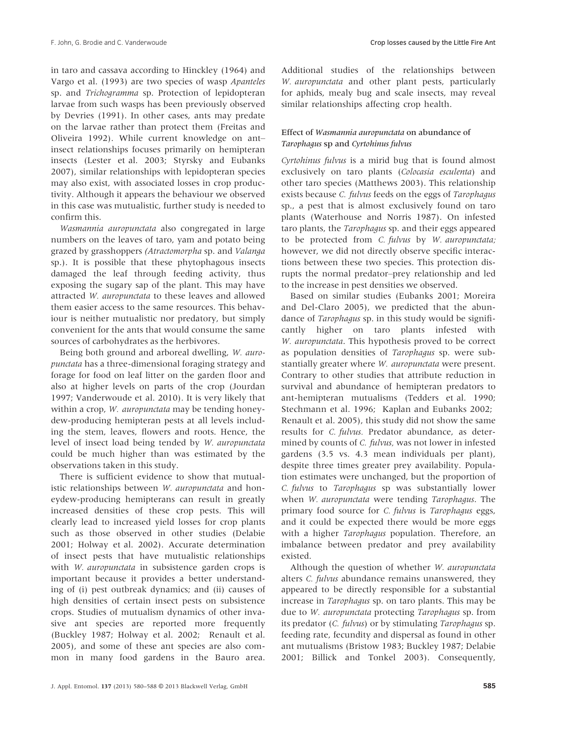in taro and cassava according to Hinckley (1964) and Vargo et al. (1993) are two species of wasp Apanteles sp. and Trichogramma sp. Protection of lepidopteran larvae from such wasps has been previously observed by Devries (1991). In other cases, ants may predate on the larvae rather than protect them (Freitas and Oliveira 1992). While current knowledge on ant– insect relationships focuses primarily on hemipteran insects (Lester et al. 2003; Styrsky and Eubanks 2007), similar relationships with lepidopteran species may also exist, with associated losses in crop productivity. Although it appears the behaviour we observed in this case was mutualistic, further study is needed to confirm this.

Wasmannia auropunctata also congregated in large numbers on the leaves of taro, yam and potato being grazed by grasshoppers (Atractomorpha sp. and Valanga sp.). It is possible that these phytophagous insects damaged the leaf through feeding activity, thus exposing the sugary sap of the plant. This may have attracted W. auropunctata to these leaves and allowed them easier access to the same resources. This behaviour is neither mutualistic nor predatory, but simply convenient for the ants that would consume the same sources of carbohydrates as the herbivores.

Being both ground and arboreal dwelling, W. auropunctata has a three-dimensional foraging strategy and forage for food on leaf litter on the garden floor and also at higher levels on parts of the crop (Jourdan 1997; Vanderwoude et al. 2010). It is very likely that within a crop, *W. auropunctata* may be tending honeydew-producing hemipteran pests at all levels including the stem, leaves, flowers and roots. Hence, the level of insect load being tended by W. auropunctata could be much higher than was estimated by the observations taken in this study.

There is sufficient evidence to show that mutualistic relationships between W. auropunctata and honeydew-producing hemipterans can result in greatly increased densities of these crop pests. This will clearly lead to increased yield losses for crop plants such as those observed in other studies (Delabie 2001; Holway et al. 2002). Accurate determination of insect pests that have mutualistic relationships with *W. auropunctata* in subsistence garden crops is important because it provides a better understanding of (i) pest outbreak dynamics; and (ii) causes of high densities of certain insect pests on subsistence crops. Studies of mutualism dynamics of other invasive ant species are reported more frequently (Buckley 1987; Holway et al. 2002; Renault et al. 2005), and some of these ant species are also common in many food gardens in the Bauro area.

Additional studies of the relationships between W. auropunctata and other plant pests, particularly for aphids, mealy bug and scale insects, may reveal similar relationships affecting crop health.

# Effect of Wasmannia auropunctata on abundance of Tarophagus sp and Cyrtohinus fulvus

Cyrtohinus fulvus is a mirid bug that is found almost exclusively on taro plants (Colocasia esculenta) and other taro species (Matthews 2003). This relationship exists because C. fulvus feeds on the eggs of Tarophagus sp., a pest that is almost exclusively found on taro plants (Waterhouse and Norris 1987). On infested taro plants, the Tarophagus sp. and their eggs appeared to be protected from C. fulvus by W. auropunctata; however, we did not directly observe specific interactions between these two species. This protection disrupts the normal predator–prey relationship and led to the increase in pest densities we observed.

Based on similar studies (Eubanks 2001; Moreira and Del-Claro 2005), we predicted that the abundance of Tarophagus sp. in this study would be significantly higher on taro plants infested with W. auropunctata. This hypothesis proved to be correct as population densities of Tarophagus sp. were substantially greater where W. auropunctata were present. Contrary to other studies that attribute reduction in survival and abundance of hemipteran predators to ant-hemipteran mutualisms (Tedders et al. 1990; Stechmann et al. 1996; Kaplan and Eubanks 2002; Renault et al. 2005), this study did not show the same results for C. fulvus. Predator abundance, as determined by counts of *C. fulvus*, was not lower in infested gardens (3.5 vs. 4.3 mean individuals per plant), despite three times greater prey availability. Population estimates were unchanged, but the proportion of C. fulvus to Tarophagus sp was substantially lower when W. auropunctata were tending Tarophagus. The primary food source for C. fulvus is Tarophagus eggs, and it could be expected there would be more eggs with a higher Tarophagus population. Therefore, an imbalance between predator and prey availability existed.

Although the question of whether W. auropunctata alters C. fulvus abundance remains unanswered, they appeared to be directly responsible for a substantial increase in Tarophagus sp. on taro plants. This may be due to W. auropunctata protecting Tarophagus sp. from its predator (C. fulvus) or by stimulating Tarophagus sp. feeding rate, fecundity and dispersal as found in other ant mutualisms (Bristow 1983; Buckley 1987; Delabie 2001; Billick and Tonkel 2003). Consequently,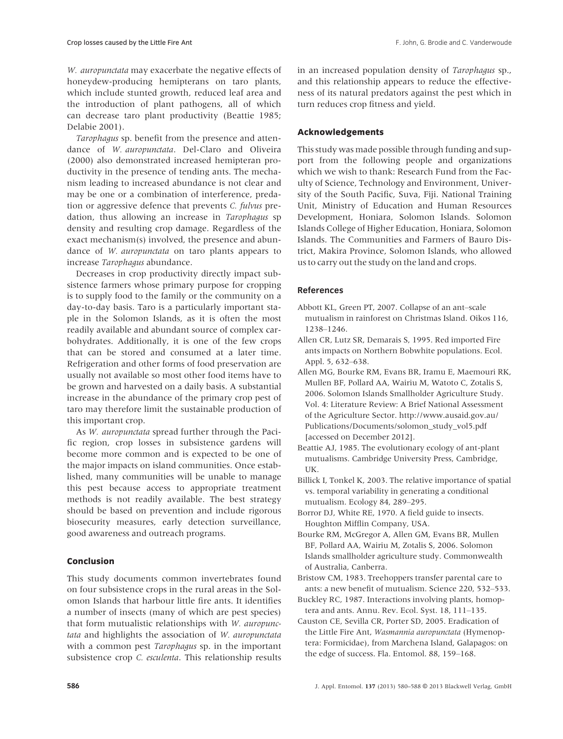W. *auropunctata* may exacerbate the negative effects of honeydew-producing hemipterans on taro plants, which include stunted growth, reduced leaf area and the introduction of plant pathogens, all of which can decrease taro plant productivity (Beattie 1985; Delabie 2001).

Tarophagus sp. benefit from the presence and attendance of W. auropunctata. Del-Claro and Oliveira (2000) also demonstrated increased hemipteran productivity in the presence of tending ants. The mechanism leading to increased abundance is not clear and may be one or a combination of interference, predation or aggressive defence that prevents C. fulvus predation, thus allowing an increase in Tarophagus sp density and resulting crop damage. Regardless of the exact mechanism(s) involved, the presence and abundance of W. auropunctata on taro plants appears to increase Tarophagus abundance.

Decreases in crop productivity directly impact subsistence farmers whose primary purpose for cropping is to supply food to the family or the community on a day-to-day basis. Taro is a particularly important staple in the Solomon Islands, as it is often the most readily available and abundant source of complex carbohydrates. Additionally, it is one of the few crops that can be stored and consumed at a later time. Refrigeration and other forms of food preservation are usually not available so most other food items have to be grown and harvested on a daily basis. A substantial increase in the abundance of the primary crop pest of taro may therefore limit the sustainable production of this important crop.

As W. auropunctata spread further through the Pacific region, crop losses in subsistence gardens will become more common and is expected to be one of the major impacts on island communities. Once established, many communities will be unable to manage this pest because access to appropriate treatment methods is not readily available. The best strategy should be based on prevention and include rigorous biosecurity measures, early detection surveillance, good awareness and outreach programs.

## Conclusion

This study documents common invertebrates found on four subsistence crops in the rural areas in the Solomon Islands that harbour little fire ants. It identifies a number of insects (many of which are pest species) that form mutualistic relationships with W. auropunctata and highlights the association of W. auropunctata with a common pest Tarophagus sp. in the important subsistence crop C. esculenta. This relationship results in an increased population density of Tarophagus sp., and this relationship appears to reduce the effectiveness of its natural predators against the pest which in turn reduces crop fitness and yield.

## Acknowledgements

This study was made possible through funding and support from the following people and organizations which we wish to thank: Research Fund from the Faculty of Science, Technology and Environment, University of the South Pacific, Suva, Fiji. National Training Unit, Ministry of Education and Human Resources Development, Honiara, Solomon Islands. Solomon Islands College of Higher Education, Honiara, Solomon Islands. The Communities and Farmers of Bauro District, Makira Province, Solomon Islands, who allowed us to carry out the study on the land and crops.

## References

- Abbott KL, Green PT, 2007. Collapse of an ant–scale mutualism in rainforest on Christmas Island. Oikos 116, 1238–1246.
- Allen CR, Lutz SR, Demarais S, 1995. Red imported Fire ants impacts on Northern Bobwhite populations. Ecol. Appl. 5, 632–638.
- Allen MG, Bourke RM, Evans BR, Iramu E, Maemouri RK, Mullen BF, Pollard AA, Wairiu M, Watoto C, Zotalis S, 2006. Solomon Islands Smallholder Agriculture Study. Vol. 4: Literature Review: A Brief National Assessment of the Agriculture Sector. http://www.ausaid.gov.au/ Publications/Documents/solomon\_study\_vol5.pdf [accessed on December 2012].
- Beattie AJ, 1985. The evolutionary ecology of ant-plant mutualisms. Cambridge University Press, Cambridge, UK.
- Billick I, Tonkel K, 2003. The relative importance of spatial vs. temporal variability in generating a conditional mutualism. Ecology 84, 289–295.
- Borror DJ, White RE, 1970. A field guide to insects. Houghton Mifflin Company, USA.
- Bourke RM, McGregor A, Allen GM, Evans BR, Mullen BF, Pollard AA, Wairiu M, Zotalis S, 2006. Solomon Islands smallholder agriculture study. Commonwealth of Australia, Canberra.
- Bristow CM, 1983. Treehoppers transfer parental care to ants: a new benefit of mutualism. Science 220, 532–533.
- Buckley RC, 1987. Interactions involving plants, homoptera and ants. Annu. Rev. Ecol. Syst. 18, 111–135.
- Causton CE, Sevilla CR, Porter SD, 2005. Eradication of the Little Fire Ant, Wasmannia auropunctata (Hymenoptera: Formicidae), from Marchena Island, Galapagos: on the edge of success. Fla. Entomol. 88, 159–168.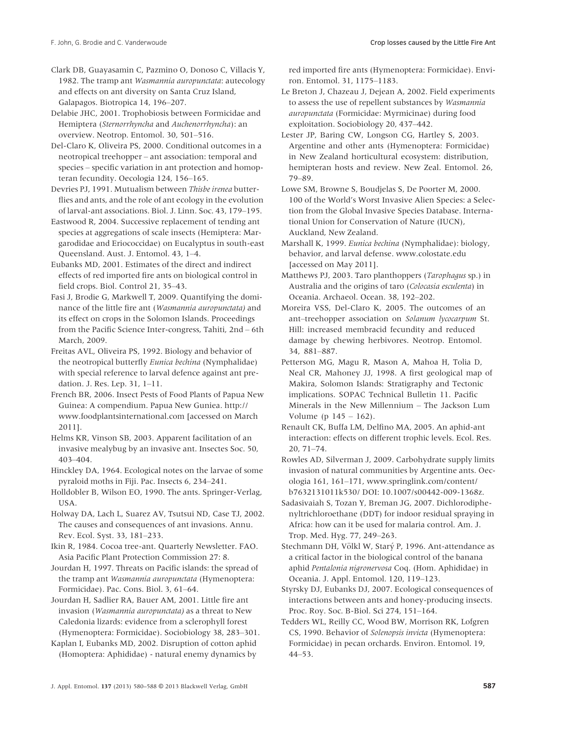Clark DB, Guayasamin C, Pazmino O, Donoso C, Villacis Y, 1982. The tramp ant Wasmannia auropunctata: autecology and effects on ant diversity on Santa Cruz Island, Galapagos. Biotropica 14, 196–207.

Delabie JHC, 2001. Trophobiosis between Formicidae and Hemiptera (Sternorrhyncha and Auchenorrhyncha): an overview. Neotrop. Entomol. 30, 501–516.

Del-Claro K, Oliveira PS, 2000. Conditional outcomes in a neotropical treehopper – ant association: temporal and species – specific variation in ant protection and homopteran fecundity. Oecologia 124, 156–165.

Devries PJ, 1991. Mutualism between Thisbe irenea butterflies and ants, and the role of ant ecology in the evolution of larval-ant associations. Biol. J. Linn. Soc. 43, 179–195.

Eastwood R, 2004. Successive replacement of tending ant species at aggregations of scale insects (Hemiptera: Margarodidae and Eriococcidae) on Eucalyptus in south-east Queensland. Aust. J. Entomol. 43, 1–4.

Eubanks MD, 2001. Estimates of the direct and indirect effects of red imported fire ants on biological control in field crops. Biol. Control 21, 35–43.

Fasi J, Brodie G, Markwell T, 2009. Quantifying the dominance of the little fire ant (Wasmannia auropunctata) and its effect on crops in the Solomon Islands. Proceedings from the Pacific Science Inter-congress, Tahiti, 2nd – 6th March, 2009.

Freitas AVL, Oliveira PS, 1992. Biology and behavior of the neotropical butterfly Eunica bechina (Nymphalidae) with special reference to larval defence against ant predation. J. Res. Lep. 31, 1–11.

French BR, 2006. Insect Pests of Food Plants of Papua New Guinea: A compendium. Papua New Guniea. http:// www.foodplantsinternational.com [accessed on March 2011].

Helms KR, Vinson SB, 2003. Apparent facilitation of an invasive mealybug by an invasive ant. Insectes Soc. 50, 403–404.

Hinckley DA, 1964. Ecological notes on the larvae of some pyraloid moths in Fiji. Pac. Insects 6, 234–241.

Holldobler B, Wilson EO, 1990. The ants. Springer-Verlag, USA.

Holway DA, Lach L, Suarez AV, Tsutsui ND, Case TJ, 2002. The causes and consequences of ant invasions. Annu. Rev. Ecol. Syst. 33, 181–233.

Ikin R, 1984. Cocoa tree-ant. Quarterly Newsletter. FAO. Asia Pacific Plant Protection Commission 27: 8.

Jourdan H, 1997. Threats on Pacific islands: the spread of the tramp ant Wasmannia auropunctata (Hymenoptera: Formicidae). Pac. Cons. Biol. 3, 61–64.

Jourdan H, Sadlier RA, Bauer AM, 2001. Little fire ant invasion (Wasmannia auropunctata) as a threat to New Caledonia lizards: evidence from a sclerophyll forest (Hymenoptera: Formicidae). Sociobiology 38, 283–301.

Kaplan I, Eubanks MD, 2002. Disruption of cotton aphid (Homoptera: Aphididae) - natural enemy dynamics by red imported fire ants (Hymenoptera: Formicidae). Environ. Entomol. 31, 1175–1183.

Le Breton J, Chazeau J, Dejean A, 2002. Field experiments to assess the use of repellent substances by Wasmannia auropunctata (Formicidae: Myrmicinae) during food exploitation. Sociobiology 20, 437–442.

Lester JP, Baring CW, Longson CG, Hartley S, 2003. Argentine and other ants (Hymenoptera: Formicidae) in New Zealand horticultural ecosystem: distribution, hemipteran hosts and review. New Zeal. Entomol. 26, 79–89.

Lowe SM, Browne S, Boudjelas S, De Poorter M, 2000. 100 of the World's Worst Invasive Alien Species: a Selection from the Global Invasive Species Database. International Union for Conservation of Nature (IUCN), Auckland, New Zealand.

Marshall K, 1999. Eunica bechina (Nymphalidae): biology, behavior, and larval defense. www.colostate.edu [accessed on May 2011].

Matthews PJ, 2003. Taro planthoppers (Tarophagus sp.) in Australia and the origins of taro (Colocasia esculenta) in Oceania. Archaeol. Ocean. 38, 192–202.

Moreira VSS, Del-Claro K, 2005. The outcomes of an ant–treehopper association on Solanum lycocarpum St. Hill: increased membracid fecundity and reduced damage by chewing herbivores. Neotrop. Entomol. 34, 881–887.

Petterson MG, Magu R, Mason A, Mahoa H, Tolia D, Neal CR, Mahoney JJ, 1998. A first geological map of Makira, Solomon Islands: Stratigraphy and Tectonic implications. SOPAC Technical Bulletin 11. Pacific Minerals in the New Millennium – The Jackson Lum Volume (p 145 – 162).

Renault CK, Buffa LM, Delfino MA, 2005. An aphid-ant interaction: effects on different trophic levels. Ecol. Res. 20, 71–74.

Rowles AD, Silverman J, 2009. Carbohydrate supply limits invasion of natural communities by Argentine ants. Oecologia 161, 161–171, www.springlink.com/content/ b7632131011k530/ DOI: 10.1007/s00442-009-1368z.

Sadasivaiah S, Tozan Y, Breman JG, 2007. Dichlorodiphenyltrichloroethane (DDT) for indoor residual spraying in Africa: how can it be used for malaria control. Am. J. Trop. Med. Hyg. 77, 249–263.

Stechmann DH, Völkl W, Starý P, 1996. Ant-attendance as a critical factor in the biological control of the banana aphid Pentalonia nigronervosa Coq. (Hom. Aphididae) in Oceania. J. Appl. Entomol. 120, 119–123.

Styrsky DJ, Eubanks DJ, 2007. Ecological consequences of interactions between ants and honey-producing insects. Proc. Roy. Soc. B-Biol. Sci 274, 151–164.

Tedders WL, Reilly CC, Wood BW, Morrison RK, Lofgren CS, 1990. Behavior of Solenopsis invicta (Hymenoptera: Formicidae) in pecan orchards. Environ. Entomol. 19, 44–53.